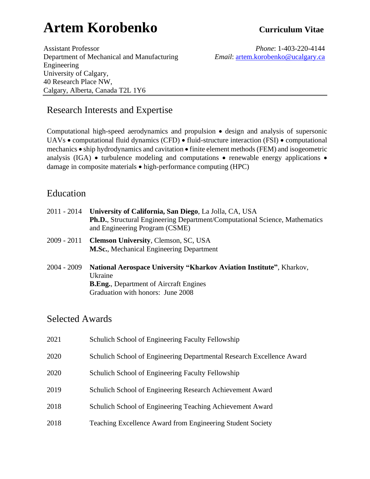# **Artem Korobenko Curriculum Vitae**

Assistant Professor *Phone*: 1-403-220-4144 Department of Mechanical and Manufacturing *Email*: [artem.korobenko@ucalgary.ca](mailto:artem.korobenko@ucalgary.ca) Engineering University of Calgary, 40 Research Place NW, Calgary, Alberta, Canada T2L 1Y6

## Research Interests and Expertise

Computational high-speed aerodynamics and propulsion • design and analysis of supersonic UAVs • computational fluid dynamics (CFD) • fluid-structure interaction (FSI) • computational mechanics • ship hydrodynamics and cavitation • finite element methods (FEM) and isogeometric analysis (IGA) • turbulence modeling and computations • renewable energy applications • damage in composite materials • high-performance computing (HPC)

## Education

| 2011 - 2014 | University of California, San Diego, La Jolla, CA, USA<br><b>Ph.D.</b> , Structural Engineering Department/Computational Science, Mathematics<br>and Engineering Program (CSME) |
|-------------|---------------------------------------------------------------------------------------------------------------------------------------------------------------------------------|
| 2009 - 2011 | <b>Clemson University, Clemson, SC, USA</b><br><b>M.Sc.</b> , Mechanical Engineering Department                                                                                 |
| 2004 - 2009 | National Aerospace University "Kharkov Aviation Institute", Kharkov,<br>Ukraine<br><b>B.Eng.</b> , Department of Aircraft Engines<br>Graduation with honors: June 2008          |

## Selected Awards

| 2021 | Schulich School of Engineering Faculty Fellowship                     |
|------|-----------------------------------------------------------------------|
| 2020 | Schulich School of Engineering Departmental Research Excellence Award |
| 2020 | Schulich School of Engineering Faculty Fellowship                     |
| 2019 | Schulich School of Engineering Research Achievement Award             |
| 2018 | Schulich School of Engineering Teaching Achievement Award             |
| 2018 | Teaching Excellence Award from Engineering Student Society            |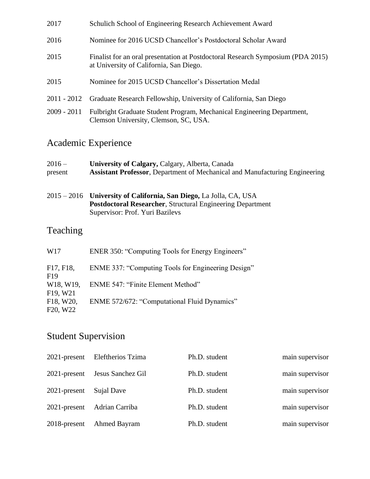| 2017          | Schulich School of Engineering Research Achievement Award                                                                  |
|---------------|----------------------------------------------------------------------------------------------------------------------------|
| 2016          | Nominee for 2016 UCSD Chancellor's Postdoctoral Scholar Award                                                              |
| 2015          | Finalist for an oral presentation at Postdoctoral Research Symposium (PDA 2015)<br>at University of California, San Diego. |
| 2015          | Nominee for 2015 UCSD Chancellor's Dissertation Medal                                                                      |
| 2011 - 2012   | Graduate Research Fellowship, University of California, San Diego                                                          |
| $2009 - 2011$ | Fulbright Graduate Student Program, Mechanical Engineering Department,<br>Clemson University, Clemson, SC, USA.            |

## Academic Experience

| $2016 -$<br>present | University of Calgary, Calgary, Alberta, Canada<br><b>Assistant Professor, Department of Mechanical and Manufacturing Engineering</b>                                      |
|---------------------|----------------------------------------------------------------------------------------------------------------------------------------------------------------------------|
|                     | 2015 – 2016 University of California, San Diego, La Jolla, CA, USA<br><b>Postdoctoral Researcher, Structural Engineering Department</b><br>Supervisor: Prof. Yuri Bazilevs |
| Teaching            |                                                                                                                                                                            |
| W17                 | ENER 350: "Computing Tools for Energy Engineers"                                                                                                                           |
| F17, F18,           | ENME 337: "Computing Tools for Engineering Design"                                                                                                                         |

| $F1/$ , $F1\delta$ ,                | ENME 337: Computing Tools for Engineering Design |
|-------------------------------------|--------------------------------------------------|
| F <sub>19</sub>                     |                                                  |
|                                     | W18, W19, ENME 547: "Finite Element Method"      |
| F <sub>19</sub> , W <sub>21</sub>   |                                                  |
| F <sub>18</sub> , W <sub>20</sub> , | ENME 572/672: "Computational Fluid Dynamics"     |
| F <sub>20</sub> , W <sub>22</sub>   |                                                  |
|                                     |                                                  |

## Student Supervision

| $2021$ -present | Eleftherios Tzima | Ph.D. student | main supervisor |
|-----------------|-------------------|---------------|-----------------|
| $2021$ -present | Jesus Sanchez Gil | Ph.D. student | main supervisor |
| $2021$ -present | Sujal Dave        | Ph.D. student | main supervisor |
| $2021$ -present | Adrian Carriba    | Ph.D. student | main supervisor |
| 2018-present    | Ahmed Bayram      | Ph.D. student | main supervisor |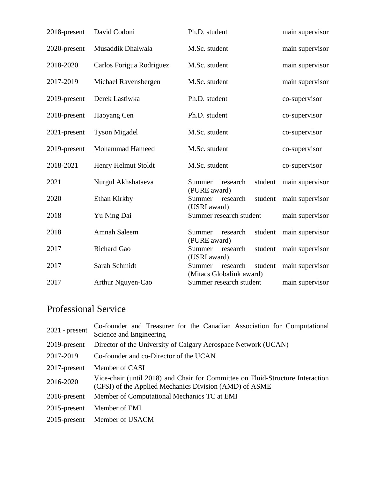| 2018-present | David Codoni             | Ph.D. student                                             | main supervisor |
|--------------|--------------------------|-----------------------------------------------------------|-----------------|
| 2020-present | Musaddik Dhalwala        | M.Sc. student                                             | main supervisor |
| 2018-2020    | Carlos Forigua Rodriguez | M.Sc. student                                             | main supervisor |
| 2017-2019    | Michael Ravensbergen     | M.Sc. student                                             | main supervisor |
| 2019-present | Derek Lastiwka           | Ph.D. student                                             | co-supervisor   |
| 2018-present | Haoyang Cen              | Ph.D. student                                             | co-supervisor   |
| 2021-present | <b>Tyson Migadel</b>     | M.Sc. student                                             | co-supervisor   |
| 2019-present | Mohammad Hameed          | M.Sc. student                                             | co-supervisor   |
| 2018-2021    | Henry Helmut Stoldt      | M.Sc. student                                             | co-supervisor   |
| 2021         | Nurgul Akhshataeva       | student<br>Summer<br>research<br>(PURE award)             | main supervisor |
| 2020         | Ethan Kirkby             | Summer<br>student<br>research<br>(USRI award)             | main supervisor |
| 2018         | Yu Ning Dai              | Summer research student                                   | main supervisor |
| 2018         | <b>Amnah Saleem</b>      | student<br>Summer<br>research<br>(PURE award)             | main supervisor |
| 2017         | <b>Richard Gao</b>       | student<br>Summer<br>research<br>(USRI award)             | main supervisor |
| 2017         | Sarah Schmidt            | Summer<br>student<br>research<br>(Mitacs Globalink award) | main supervisor |
| 2017         | Arthur Nguyen-Cao        | Summer research student                                   | main supervisor |

## Professional Service

| Co-founder and Treasurer for the Canadian Association for Computational                                                                  |  |
|------------------------------------------------------------------------------------------------------------------------------------------|--|
| Director of the University of Calgary Aerospace Network (UCAN)                                                                           |  |
|                                                                                                                                          |  |
|                                                                                                                                          |  |
| Vice-chair (until 2018) and Chair for Committee on Fluid-Structure Interaction<br>(CFSI) of the Applied Mechanics Division (AMD) of ASME |  |
|                                                                                                                                          |  |
|                                                                                                                                          |  |
|                                                                                                                                          |  |
|                                                                                                                                          |  |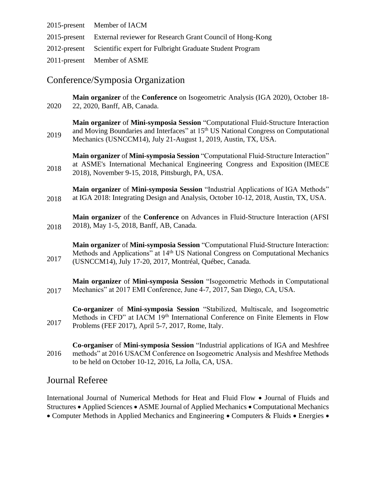| 2015-present Member of IACM                                            |
|------------------------------------------------------------------------|
| 2015-present External reviewer for Research Grant Council of Hong-Kong |
| 2012-present Scientific expert for Fulbright Graduate Student Program  |
| 2011-present Member of ASME                                            |

## Conference/Symposia Organization

2020 **Main organizer** of the **Conference** on Isogeometric Analysis (IGA 2020), October 18- 22, 2020, Banff, AB, Canada. 2019 **Main organizer** of **Mini-symposia Session** "Computational Fluid-Structure Interaction and Moving Boundaries and Interfaces" at 15<sup>th</sup> US National Congress on Computational Mechanics (USNCCM14), July 21-August 1, 2019, Austin, TX, USA. 2018 **Main organizer** of **Mini-symposia Session** "Computational Fluid-Structure Interaction" at ASME's International Mechanical Engineering Congress and Exposition (IMECE 2018), November 9-15, 2018, Pittsburgh, PA, USA. 2018 **Main organizer** of **Mini-symposia Session** "Industrial Applications of IGA Methods" at IGA 2018: Integrating Design and Analysis, October 10-12, 2018, Austin, TX, USA. 2018 **Main organizer** of the **Conference** on Advances in Fluid-Structure Interaction (AFSI 2018), May 1-5, 2018, Banff, AB, Canada. 2017 **Main organizer** of **Mini-symposia Session** "Computational Fluid-Structure Interaction: Methods and Applications" at 14<sup>th</sup> US National Congress on Computational Mechanics (USNCCM14), July 17-20, 2017, Montréal, Québec, Canada.

2017 **Main organizer** of **Mini-symposia Session** "Isogeometric Methods in Computational Mechanics" at 2017 EMI Conference, June 4-7, 2017, San Diego, CA, USA.

2017 **Co-organizer** of **Mini-symposia Session** "Stabilized, Multiscale, and Isogeometric Methods in CFD" at IACM 19<sup>th</sup> International Conference on Finite Elements in Flow Problems (FEF 2017), April 5-7, 2017, Rome, Italy.

2016 **Co-organiser** of **Mini-symposia Session** "Industrial applications of IGA and Meshfree methods" at 2016 USACM Conference on Isogeometric Analysis and Meshfree Methods to be held on October 10-12, 2016, La Jolla, CA, USA.

## Journal Referee

International Journal of Numerical Methods for Heat and Fluid Flow • Journal of Fluids and Structures • Applied Sciences • ASME Journal of Applied Mechanics • Computational Mechanics • Computer Methods in Applied Mechanics and Engineering • Computers & Fluids • Energies •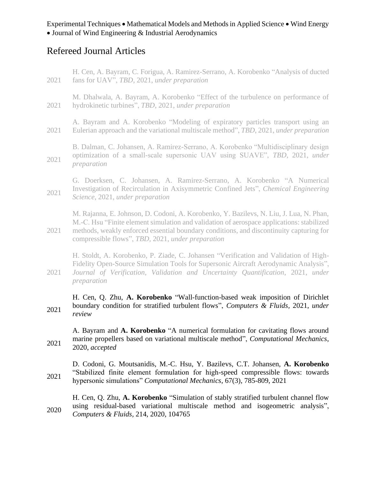## Refereed Journal Articles

- 2021 H. Cen, A. Bayram, C. Forigua, A. Ramirez-Serrano, A. Korobenko "Analysis of ducted fans for UAV", *TBD*, 2021, *under preparation*
- 2021 M. Dhalwala, A. Bayram, A. Korobenko "Effect of the turbulence on performance of hydrokinetic turbines", *TBD*, 2021, *under preparation*
- 2021 A. Bayram and A. Korobenko "Modeling of expiratory particles transport using an Eulerian approach and the variational multiscale method", *TBD*, 2021, *under preparation*
- 2021 B. Dalman, C. Johansen, A. Ramirez-Serrano, A. Korobenko "Multidisciplinary design optimization of a small-scale supersonic UAV using SUAVE", *TBD*, 2021, *under preparation*
- 2021 G. Doerksen, C. Johansen, A. Ramirez-Serrano, A. Korobenko "A Numerical Investigation of Recirculation in Axisymmetric Confined Jets", *Chemical Engineering Science*, 2021, *under preparation*

2021 M. Rajanna, E. Johnson, D. Codoni, A. Korobenko, Y. Bazilevs, N. Liu, J. Lua, N. Phan, M.-C. Hsu "Finite element simulation and validation of aerospace applications: stabilized methods, weakly enforced essential boundary conditions, and discontinuity capturing for compressible flows", *TBD,* 2021, *under preparation*

- H. Stoldt, A. Korobenko, P. Ziade, C. Johansen "Verification and Validation of High-Fidelity Open-Source Simulation Tools for Supersonic Aircraft Aerodynamic Analysis",
- 2021 *Journal of Verification, Validation and Uncertainty Quantification*, 2021, *under preparation*
- 2021 H. Cen, Q. Zhu, **A. Korobenko** "Wall-function-based weak imposition of Dirichlet boundary condition for stratified turbulent flows", *Computers & Fluids,* 2021, *under review*
- 2021 A. Bayram and **A. Korobenko** "A numerical formulation for cavitating flows around marine propellers based on variational multiscale method", *Computational Mechanics*, 2020, *accepted*

2021 D. Codoni, G. Moutsanidis, M.-C. Hsu, Y. Bazilevs, C.T. Johansen, **A. Korobenko** "Stabilized finite element formulation for high-speed compressible flows: towards hypersonic simulations" *Computational Mechanics*, 67(3), 785-809, 2021

2020 H. Cen, Q. Zhu, **A. Korobenko** "Simulation of stably stratified turbulent channel flow using residual-based variational multiscale method and isogeometric analysis", *Computers & Fluids,* 214, 2020, 104765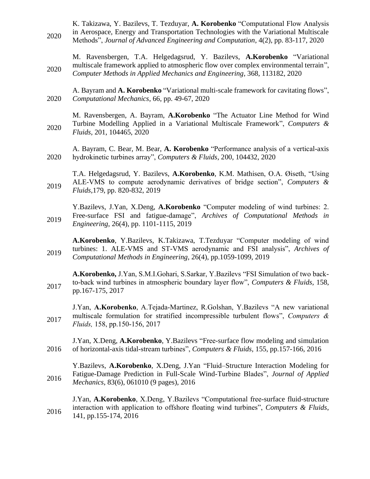- 2020 K. Takizawa, Y. Bazilevs, T. Tezduyar, **A. Korobenko** "Computational Flow Analysis in Aerospace, Energy and Transportation Technologies with the Variational Multiscale Methods", *Journal of Advanced Engineering and Computation*, 4(2), pp. 83-117, 2020
- 2020 M. Ravensbergen, T.A. Helgedagsrud, Y. Bazilevs, **A.Korobenko** "Variational multiscale framework applied to atmospheric flow over complex environmental terrain", *Computer Methods in Applied Mechanics and Engineering,* 368, 113182, 2020
- 2020 A. Bayram and **A. Korobenko** "Variational multi-scale framework for cavitating flows", *Computational Mechanics*, 66, pp. 49-67, 2020
- 2020 M. Ravensbergen, A. Bayram, **A.Korobenko** "The Actuator Line Method for Wind Turbine Modelling Applied in a Variational Multiscale Framework", *Computers & Fluids,* 201, 104465, 2020
- 2020 A. Bayram, C. Bear, M. Bear, **A. Korobenko** "Performance analysis of a vertical-axis hydrokinetic turbines array", *Computers & Fluids*, 200, 104432, 2020
- 2019 T.A. Helgedagsrud, Y. Bazilevs, **A.Korobenko**, K.M. Mathisen, O.A. Øiseth, "Using ALE-VMS to compute aerodynamic derivatives of bridge section", *Computers & Fluids,*179, pp. 820-832, 2019
- 2019 Y.Bazilevs, J.Yan, X.Deng, **A.Korobenko** "Computer modeling of wind turbines: 2. Free-surface FSI and fatigue-damage", *Archives of Computational Methods in Engineering*, 26(4), pp. 1101-1115, 2019
- 2019 **A.Korobenko**, Y.Bazilevs, K.Takizawa, T.Tezduyar "Computer modeling of wind turbines: 1. ALE-VMS and ST-VMS aerodynamic and FSI analysis", *Archives of Computational Methods in Engineering,* 26(4), pp.1059-1099, 2019
- 2017 **A.Korobenko,** J.Yan, S.M.I.Gohari, S.Sarkar, Y.Bazilevs "FSI Simulation of two backto-back wind turbines in atmospheric boundary layer flow", *Computers & Fluids,* 158, pp.167-175, 2017
- 2017 J.Yan, **A.Korobenko**, A.Tejada-Martinez, R.Golshan, Y.Bazilevs "A new variational multiscale formulation for stratified incompressible turbulent flows", *Computers & Fluids,* 158, pp.150-156, 2017
- 2016 J.Yan, X.Deng, **A.Korobenko**, Y.Bazilevs "Free-surface flow modeling and simulation of horizontal-axis tidal-stream turbines", *Computers & Fluids,* 155, pp.157-166, 2016
- 2016 Y.Bazilevs, **A.Korobenko**, X.Deng, J.Yan "Fluid–Structure Interaction Modeling for Fatigue-Damage Prediction in Full-Scale Wind-Turbine Blades", *Journal of Applied Mechanics*, 83(6), 061010 (9 pages), 2016
- 2016 J.Yan, **A.Korobenko**, X.Deng, Y.Bazilevs "Computational free-surface fluid-structure interaction with application to offshore floating wind turbines", *Computers & Fluids*, 141, pp.155-174, 2016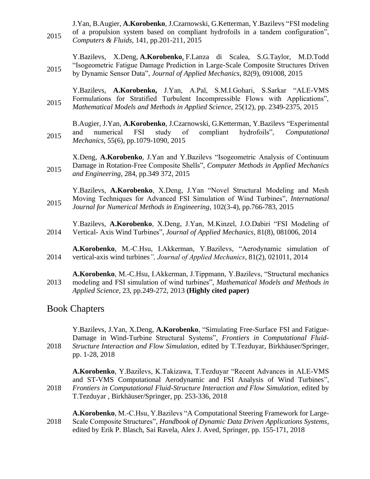2015 J.Yan, B.Augier, **A.Korobenko**, J.Czarnowski, G.Ketterman, Y.Bazilevs "FSI modeling of a propulsion system based on compliant hydrofoils in a tandem configuration", *Computers & Fluids,* 141, pp.201-211, 2015

2015 Y.Bazilevs, X.Deng, **A.Korobenko**, F.Lanza di Scalea, S.G.Taylor, M.D.Todd "Isogeometric Fatigue Damage Prediction in Large-Scale Composite Structures Driven by Dynamic Sensor Data", *Journal of Applied Mechanics*, 82(9), 091008, 2015

2015 Y.Bazilevs, **A.Korobenko,** J.Yan, A.Pal, S.M.I.Gohari, S.Sarkar "ALE-VMS Formulations for Stratified Turbulent Incompressible Flows with Applications", *Mathematical Models and Methods in Applied Science,* 25(12), pp. 2349-2375, 2015

2015 B.Augier, J.Yan, **A.Korobenko**, J.Czarnowski, G.Ketterman, Y.Bazilevs "Experimental and numerical FSI study of compliant hydrofoils", *Computational Mechanics*, 55(6), pp.1079-1090, 2015

2015 X.Deng, **A.Korobenko**, J.Yan and Y.Bazilevs "Isogeometric Analysis of Continuum Damage in Rotation-Free Composite Shells", *Computer Methods in Applied Mechanics and Engineering*, 284, pp.349 372, 2015

2015 Y.Bazilevs, **A.Korobenko**, X.Deng, J.Yan "Novel Structural Modeling and Mesh Moving Techniques for Advanced FSI Simulation of Wind Turbines", *International Journal for Numerical Methods in Engineering*, 102(3-4), pp.766-783, 2015

2014 Y.Bazilevs, **A.Korobenko**, X.Deng, J.Yan, M.Kinzel, J.O.Dabiri "FSI Modeling of Vertical- Axis Wind Turbines", *Journal of Applied Mechanics*, 81(8), 081006, 2014

2014 **A.Korobenko**, M.-C.Hsu, I.Akkerman, Y.Bazilevs, "Aerodynamic simulation of vertical-axis wind turbines*", Journal of Applied Mechanics*, 81(2), 021011, 2014

2013 **A.Korobenko**, M.-C.Hsu, I.Akkerman, J.Tippmann, Y.Bazilevs, "Structural mechanics modeling and FSI simulation of wind turbines", *Mathematical Models and Methods in Applied Science*, 23, pp.249-272, 2013 **(Highly cited paper)**

#### Book Chapters

| 2018 | Y.Bazilevs, J.Yan, X.Deng, A.Korobenko, "Simulating Free-Surface FSI and Fatigue-<br>Damage in Wind-Turbine Structural Systems", Frontiers in Computational Fluid-<br>Structure Interaction and Flow Simulation, edited by T.Tezduyar, Birkhäuser/Springer,<br>pp. 1-28, 2018                                                                                                                              |
|------|------------------------------------------------------------------------------------------------------------------------------------------------------------------------------------------------------------------------------------------------------------------------------------------------------------------------------------------------------------------------------------------------------------|
| 2018 | A.Korobenko, Y.Bazilevs, K.Takizawa, T.Tezduyar "Recent Advances in ALE-VMS<br>and ST-VMS Computational Aerodynamic and FSI Analysis of Wind Turbines",<br>Frontiers in Computational Fluid-Structure Interaction and Flow Simulation, edited by<br>T.Tezduyar, Birkhäuser/Springer, pp. 253-336, 2018<br><b>A Korobenko</b> M <sub>-C</sub> Hsu Y Razileys "A Computational Steering Framework for Large- |

2018 **Lorobenko**, M.-C.Hsu, Y.Bazilevs "A Computational Steering Framework for Large-Scale Composite Structures", *Handbook of Dynamic Data Driven Applications Systems*, edited by Erik P. Blasch, Sai Ravela, Alex J. Aved, Springer, pp. 155-171, 2018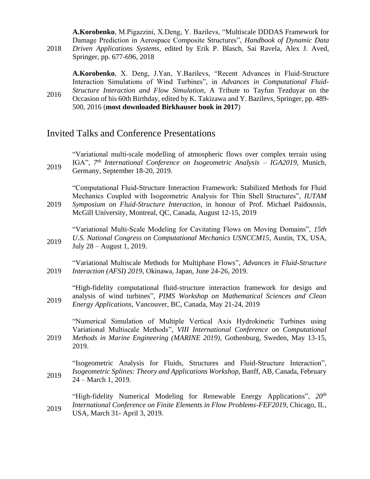**A.Korobenko**, M.Pigazzini, X.Deng, Y. Bazilevs, "Multiscale DDDAS Framework for Damage Prediction in Aerospace Composite Structures", *Handbook of Dynamic Data Driven Applications Systems*, edited by Erik P. Blasch, Sai Ravela, Alex J. Aved,

Springer, pp. 677-696, 2018

2018

2016

**A.Korobenko**, X. Deng, J.Yan, Y.Bazilevs, "Recent Advances in Fluid-Structure Interaction Simulations of Wind Turbines", in *Advances in Computational Fluid-Structure Interaction and Flow Simulation*, A Tribute to Tayfun Tezduyar on the Occasion of his 60th Birthday, edited by K. Takizawa and Y. Bazilevs, Springer, pp. 489- 500, 2016 (**most downloaded Birkhauser book in 2017**)

#### Invited Talks and Conference Presentations

2019 "Variational multi-scale modelling of atmospheric flows over complex terrain using IGA", *7 th International Conference on Isogeometric Analysis – IGA2019*, Munich, Germany, September 18-20, 2019.

2019 "Computational Fluid-Structure Interaction Framework: Stabilized Methods for Fluid Mechanics Coupled with Isogeometric Analysis for Thin Shell Structures", *IUTAM Symposium on Fluid-Structure Interaction*, in honour of Prof. Michael Paidoussis, McGill University, Montreal, QC, Canada, August 12-15, 2019

2019 "Variational Multi-Scale Modeling for Cavitating Flows on Moving Domains", *15th U.S. National Congress on Computational Mechanics USNCCM15*, Austin, TX, USA, July 28 – August 1, 2019.

2019 "Variational Multiscale Methods for Multiphase Flows", *Advances in Fluid-Structure Interaction (AFSI) 2019*, Okinawa, Japan, June 24-26, 2019.

2019 "High-fidelity computational fluid-structure interaction framework for design and analysis of wind turbines", *PIMS Workshop on Mathematical Sciences and Clean Energy Applications*, Vancouver, BC, Canada, May 21-24, 2019

2019 "Numerical Simulation of Multiple Vertical Axis Hydrokinetic Turbines using Variational Multiscale Methods", *VIII International Conference on Computational Methods in Marine Engineering (MARINE 2019),* Gothenburg, Sweden, May 13-15, 2019.

2019 "Isogeometric Analysis for Fluids, Structures and Fluid-Structure Interaction", *Isogeometric Splines: Theory and Applications Workshop,* Banff, AB, Canada, February 24 – March 1, 2019.

2019 "High-fidelity Numerical Modeling for Renewable Energy Applications", *20th International Conference on Finite Elements in Flow Problems-FEF2019*, Chicago, IL, USA, March 31- April 3, 2019.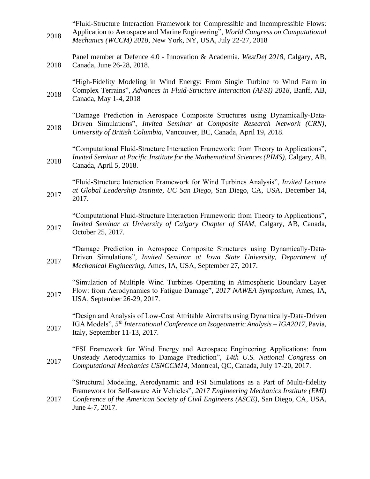2018 "Fluid-Structure Interaction Framework for Compressible and Incompressible Flows: Application to Aerospace and Marine Engineering", *World Congress on Computational Mechanics (WCCM) 2018*, New York, NY, USA, July 22-27, 2018

2018 Panel member at Defence 4.0 - Innovation & Academia. *WestDef 2018*, Calgary, AB, Canada, June 26-28, 2018.

2018 "High-Fidelity Modeling in Wind Energy: From Single Turbine to Wind Farm in Complex Terrains", *Advances in Fluid-Structure Interaction (AFSI) 2018*, Banff, AB, Canada, May 1-4, 2018

2018 "Damage Prediction in Aerospace Composite Structures using Dynamically-Data-Driven Simulations", *Invited Seminar at Composite Research Network (CRN), University of British Columbia,* Vancouver, BC, Canada, April 19, 2018.

2018 "Computational Fluid-Structure Interaction Framework: from Theory to Applications", *Invited Seminar at Pacific Institute for the Mathematical Sciences (PIMS),* Calgary, AB, Canada, April 5, 2018.

2017 "Fluid-Structure Interaction Framework for Wind Turbines Analysis", *Invited Lecture at Global Leadership Institute, UC San Diego*, San Diego, CA, USA, December 14, 2017.

2017 "Computational Fluid-Structure Interaction Framework: from Theory to Applications", *Invited Seminar at University of Calgary Chapter of SIAM, Calgary, AB, Canada,* October 25, 2017.

2017 "Damage Prediction in Aerospace Composite Structures using Dynamically-Data-Driven Simulations", *Invited Seminar at Iowa State University, Department of Mechanical Engineering,* Ames, IA, USA, September 27, 2017.

2017 "Simulation of Multiple Wind Turbines Operating in Atmospheric Boundary Layer Flow: from Aerodynamics to Fatigue Damage", *2017 NAWEA Symposium,* Ames, IA, USA, September 26-29, 2017.

2017 "Design and Analysis of Low-Cost Attritable Aircrafts using Dynamically-Data-Driven IGA Models", *5 th International Conference on Isogeometric Analysis – IGA2017*, Pavia, Italy, September 11-13, 2017.

2017 "FSI Framework for Wind Energy and Aerospace Engineering Applications: from Unsteady Aerodynamics to Damage Prediction", *14th U.S. National Congress on Computational Mechanics USNCCM14*, Montreal, QC, Canada, July 17-20, 2017.

"Structural Modeling, Aerodynamic and FSI Simulations as a Part of Multi-fidelity Framework for Self-aware Air Vehicles", *2017 Engineering Mechanics Institute (EMI) Conference of the American Society of Civil Engineers (ASCE)*, San Diego, CA, USA,

June 4-7, 2017.

2017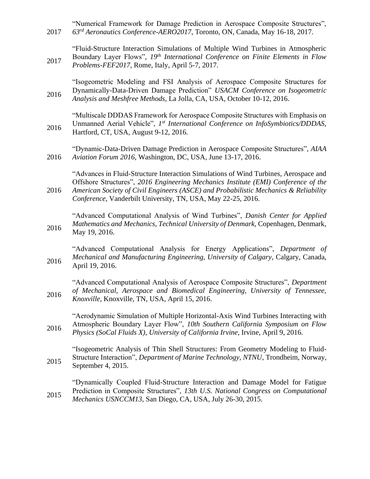2017 "Numerical Framework for Damage Prediction in Aerospace Composite Structures", *63rd Aeronautics Conference-AERO2017*, Toronto, ON, Canada, May 16-18, 2017.

2017 "Fluid-Structure Interaction Simulations of Multiple Wind Turbines in Atmospheric Boundary Layer Flows", *19th International Conference on Finite Elements in Flow Problems-FEF2017*, Rome, Italy, April 5-7, 2017.

2016 "Isogeometric Modeling and FSI Analysis of Aerospace Composite Structures for Dynamically-Data-Driven Damage Prediction" *USACM Conference on Isogeometric Analysis and Meshfree Methods,* La Jolla, CA, USA, October 10-12, 2016.

2016 "Multiscale DDDAS Framework for Aerospace Composite Structures with Emphasis on Unmanned Aerial Vehicle", 1<sup>st</sup> International Conference on InfoSymbiotics/DDDAS, Hartford, CT, USA, August 9-12, 2016.

2016 "Dynamic-Data-Driven Damage Prediction in Aerospace Composite Structures", *AIAA Aviation Forum 2016,* Washington, DC, USA, June 13-17, 2016.

2016 "Advances in Fluid-Structure Interaction Simulations of Wind Turbines, Aerospace and Offshore Structures", *2016 Engineering Mechanics Institute (EMI) Conference of the American Society of Civil Engineers (ASCE) and Probabilistic Mechanics & Reliability Conference*, Vanderbilt University, TN, USA, May 22-25, 2016.

2016 "Advanced Computational Analysis of Wind Turbines", *Danish Center for Applied Mathematics and Mechanics, Technical University of Denmark,* Copenhagen, Denmark, May 19, 2016.

2016 "Advanced Computational Analysis for Energy Applications", *Department of Mechanical and Manufacturing Engineering, University of Calgary*, Calgary, Canada, April 19, 2016.

2016 "Advanced Computational Analysis of Aerospace Composite Structures", *Department of Mechanical, Aerospace and Biomedical Engineering, University of Tennessee, Knoxville*, Knoxville, TN, USA, April 15, 2016.

2016 "Aerodynamic Simulation of Multiple Horizontal-Axis Wind Turbines Interacting with Atmospheric Boundary Layer Flow", *10th Southern California Symposium on Flow Physics (SoCal Fluids X)*, *University of California Irvine*, Irvine, April 9, 2016.

2015 "Isogeometric Analysis of Thin Shell Structures: From Geometry Modeling to Fluid-Structure Interaction", *Department of Marine Technology, NTNU*, Trondheim, Norway, September 4, 2015.

2015 "Dynamically Coupled Fluid-Structure Interaction and Damage Model for Fatigue Prediction in Composite Structures", *13th U.S. National Congress on Computational Mechanics USNCCM13*, San Diego, CA, USA, July 26-30, 2015.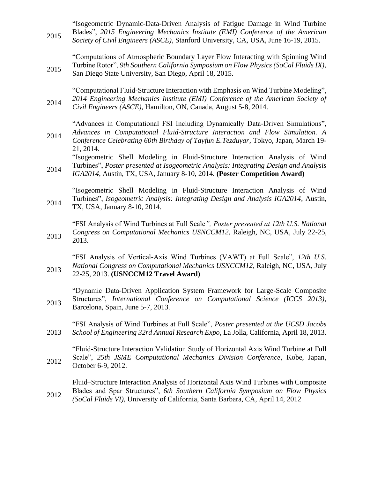| 2015 | "Isogeometric Dynamic-Data-Driven Analysis of Fatigue Damage in Wind Turbine<br>Blades", 2015 Engineering Mechanics Institute (EMI) Conference of the American<br>Society of Civil Engineers (ASCE), Stanford University, CA, USA, June 16-19, 2015.              |
|------|-------------------------------------------------------------------------------------------------------------------------------------------------------------------------------------------------------------------------------------------------------------------|
| 2015 | "Computations of Atmospheric Boundary Layer Flow Interacting with Spinning Wind<br>Turbine Rotor", 9th Southern California Symposium on Flow Physics (SoCal Fluids IX),<br>San Diego State University, San Diego, April 18, 2015.                                 |
| 2014 | "Computational Fluid-Structure Interaction with Emphasis on Wind Turbine Modeling",<br>2014 Engineering Mechanics Institute (EMI) Conference of the American Society of<br>Civil Engineers (ASCE), Hamilton, ON, Canada, August 5-8, 2014.                        |
| 2014 | "Advances in Computational FSI Including Dynamically Data-Driven Simulations",<br>Advances in Computational Fluid-Structure Interaction and Flow Simulation. A<br>Conference Celebrating 60th Birthday of Tayfun E.Tezduyar, Tokyo, Japan, March 19-<br>21, 2014. |
| 2014 | "Isogeometric Shell Modeling in Fluid-Structure Interaction Analysis of Wind<br>Turbines", Poster presented at Isogeometric Analysis: Integrating Design and Analysis<br>IGA2014, Austin, TX, USA, January 8-10, 2014. (Poster Competition Award)                 |
| 2014 | "Isogeometric Shell Modeling in Fluid-Structure Interaction Analysis of Wind<br>Turbines", Isogeometric Analysis: Integrating Design and Analysis IGA2014, Austin,<br>TX, USA, January 8-10, 2014.                                                                |
| 2013 | "FSI Analysis of Wind Turbines at Full Scale", Poster presented at 12th U.S. National<br>Congress on Computational Mechanics USNCCM12, Raleigh, NC, USA, July 22-25,<br>2013.                                                                                     |
| 2013 | "FSI Analysis of Vertical-Axis Wind Turbines (VAWT) at Full Scale", 12th U.S.<br>National Congress on Computational Mechanics USNCCM12, Raleigh, NC, USA, July<br>22-25, 2013. (USNCCM12 Travel Award)                                                            |
| 2013 | "Dynamic Data-Driven Application System Framework for Large-Scale Composite<br>Structures", International Conference on Computational Science (ICCS 2013),<br>Barcelona, Spain, June 5-7, 2013.                                                                   |
| 2013 | "FSI Analysis of Wind Turbines at Full Scale", <i>Poster presented at the UCSD Jacobs</i><br>School of Engineering 32rd Annual Research Expo, La Jolla, California, April 18, 2013.                                                                               |
| 2012 | "Fluid-Structure Interaction Validation Study of Horizontal Axis Wind Turbine at Full<br>Scale", 25th JSME Computational Mechanics Division Conference, Kobe, Japan,<br>October 6-9, 2012.                                                                        |
| 2012 | Fluid–Structure Interaction Analysis of Horizontal Axis Wind Turbines with Composite<br>Blades and Spar Structures", 6th Southern California Symposium on Flow Physics                                                                                            |

2012 *(SoCal Fluids VI)*, University of California, Santa Barbara, CA, April 14, 2012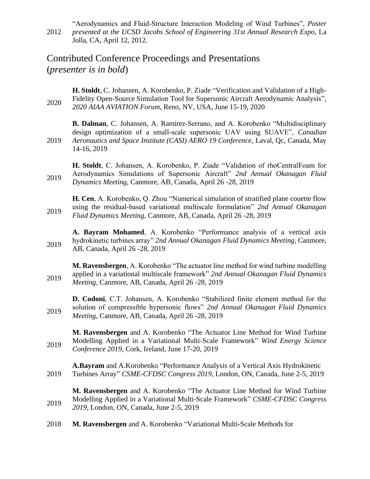2012 "Aerodynamics and Fluid-Structure Interaction Modeling of Wind Turbines", *Poster presented at the UCSD Jacobs School of Engineering 31st Annual Research Expo*, La Jolla, CA, April 12, 2012.

## Contributed Conference Proceedings and Presentations (*presenter is in bold*)

2020 **H. Stoldt**, C. Johansen, A. Korobenko, P. Ziade "Verification and Validation of a High-Fidelity Open-Source Simulation Tool for Supersonic Aircraft Aerodynamic Analysis", *2020 AIAA AVIATION Forum*, Reno, NV, USA, June 15-19, 2020

2019 **B. Dalman**, C. Johansen, A. Ramirez-Serrano, and A. Korobenko "Multidisciplinary design optimization of a small-scale supersonic UAV using SUAVE", *Canadian Aeronautics and Space Institute (CASI) AERO 19 Conference, Laval, Qc, Canada, May* 14-16, 2019

2019 **H. Stoldt**, C. Johansen, A. Korobenko, P. Ziade "Validation of rhoCentralFoam for Aerodynamics Simulations of Supersonic Aircraft" *2nd Annual Okanagan Fluid Dynamics Meeting*, Canmore, AB, Canada, April 26 -28, 2019

2019 **H. Cen**, A. Korobenko, Q. Zhou "Numerical simulation of stratified plane couette flow using the residual-based variational multiscale formulation" *2nd Annual Okanagan Fluid Dynamics Meeting*, Canmore, AB, Canada, April 26 -28, 2019

2019 **A. Bayram Mohamed**, A. Korobenko "Performance analysis of a vertical axis hydrokinetic turbines array" *2nd Annual Okanagan Fluid Dynamics Meeting*, Canmore, AB, Canada, April 26 -28, 2019

2019 **M. Ravensbergen**, A. Korobenko "The actuator line method for wind turbine modelling applied in a variational multiscale framework" *2nd Annual Okanagan Fluid Dynamics Meeting*, Canmore, AB, Canada, April 26 -28, 2019

2019 **D. Codoni**, C.T. Johansen, A. Korobenko "Stabilized finite element method for the solution of compressible hypersonic flows" *2nd Annual Okanagan Fluid Dynamics Meeting*, Canmore, AB, Canada, April 26 -28, 2019

2019 **M. Ravensbergen** and A. Korobenko "The Actuator Line Method for Wind Turbine Modelling Applied in a Variational Multi-Scale Framework" *Wind Energy Science Conference 2019*, Cork, Ireland, June 17-20, 2019

2019 **A.Bayram** and A.Korobenko "Performance Analysis of a Vertical Axis Hydrokinetic Turbines Array" *CSME-CFDSC Congress 2019*, London, ON, Canada, June 2-5, 2019

2019 **M. Ravensbergen** and A. Korobenko "The Actuator Line Method for Wind Turbine Modelling Applied in a Variational Multi-Scale Framework" *CSME-CFDSC Congress 2019*, London, ON, Canada, June 2-5, 2019

2018 **M. Ravensbergen** and A. Korobenko "Variational Multi-Scale Methods for